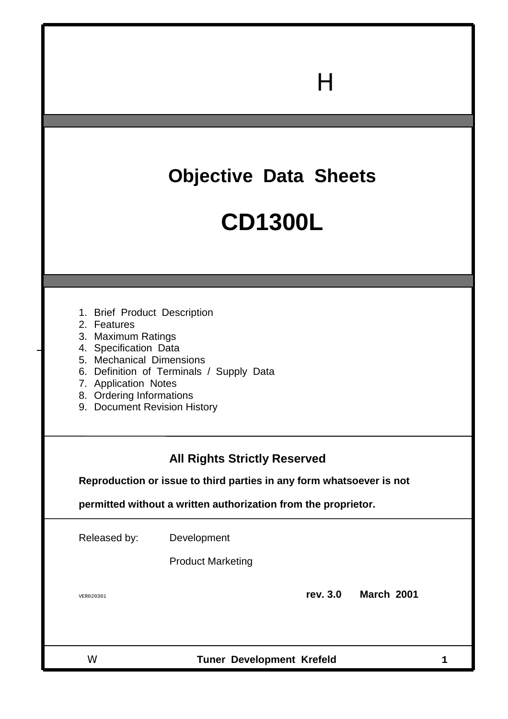## **Objective Data Sheets**

 $\mathsf{H}$ 

## **CD1300L**

- 1. Brief Product Description
- 2. Features
- 3. Maximum Ratings
- 4. Specification Data
- 5. Mechanical Dimensions
- 6. Definition of Terminals / Supply Data
- 7. Application Notes
- 8. Ordering Informations
- 9. Document Revision History

### **All Rights Strictly Reserved**

**Reproduction or issue to third parties in any form whatsoever is not**

**permitted without a written authorization from the proprietor.**

Released by: Development

Product Marketing

VER020301 **rev. 3.0 March 2001**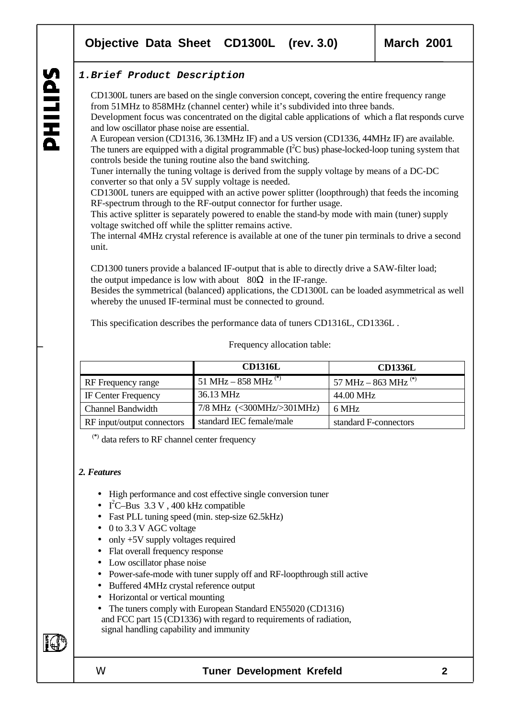### **1.Brief Product Description**

CD1300L tuners are based on the single conversion concept, covering the entire frequency range from 51MHz to 858MHz (channel center) while it's subdivided into three bands. Development focus was concentrated on the digital cable applications of which a flat responds curve and low oscillator phase noise are essential.

A European version (CD1316, 36.13MHz IF) and a US version (CD1336, 44MHz IF) are available. The tuners are equipped with a digital programmable ( $I<sup>2</sup>C$  bus) phase-locked-loop tuning system that controls beside the tuning routine also the band switching.

Tuner internally the tuning voltage is derived from the supply voltage by means of a DC-DC converter so that only a 5V supply voltage is needed.

CD1300L tuners are equipped with an active power splitter (loopthrough) that feeds the incoming RF-spectrum through to the RF-output connector for further usage.

This active splitter is separately powered to enable the stand-by mode with main (tuner) supply voltage switched off while the splitter remains active.

The internal 4MHz crystal reference is available at one of the tuner pin terminals to drive a second unit.

CD1300 tuners provide a balanced IF-output that is able to directly drive a SAW-filter load; the output impedance is low with about  $80\Omega$  in the IF-range.

Besides the symmetrical (balanced) applications, the CD1300L can be loaded asymmetrical as well whereby the unused IF-terminal must be connected to ground.

This specification describes the performance data of tuners CD1316L, CD1336L .

Frequency allocation table:

|                            | <b>CD1316L</b>                  | <b>CD1336L</b>                  |
|----------------------------|---------------------------------|---------------------------------|
| RF Frequency range         | 51 MHz – 858 MHz <sup>(*)</sup> | 57 MHz – 863 MHz <sup>(*)</sup> |
| <b>IF Center Frequency</b> | 36.13 MHz                       | 44.00 MHz                       |
| <b>Channel Bandwidth</b>   | $7/8$ MHz $(300MHz>301MHz)$     | 6 MHz                           |
| RF input/output connectors | standard IEC female/male        | standard F-connectors           |

(**\***) data refers to RF channel center frequency

### *2. Features*

- High performance and cost effective single conversion tuner
- I<sup>2</sup>C-Bus  $3.3 \text{ V}$ ,  $400 \text{ kHz}$  compatible
- Fast PLL tuning speed (min. step-size 62.5kHz)
- 0 to 3.3 V AGC voltage
- only +5V supply voltages required
- Flat overall frequency response
- Low oscillator phase noise
- Power-safe-mode with tuner supply off and RF-loopthrough still active
- Buffered 4MHz crystal reference output
- Horizontal or vertical mounting
- The tuners comply with European Standard EN55020 (CD1316) and FCC part 15 (CD1336) with regard to requirements of radiation, signal handling capability and immunity

EQ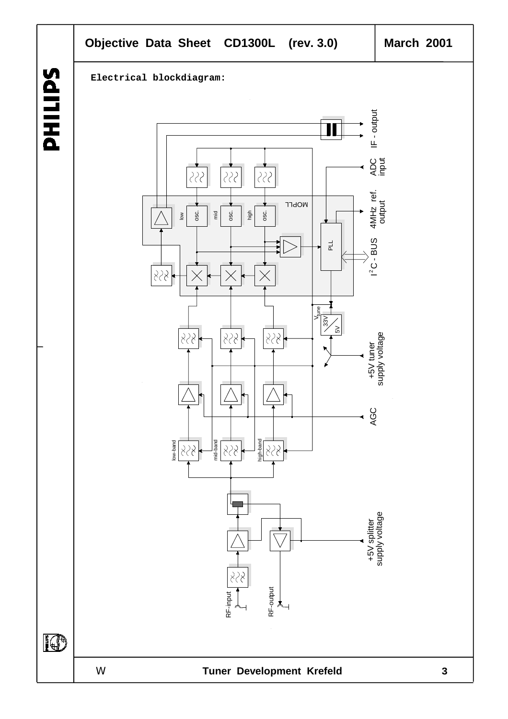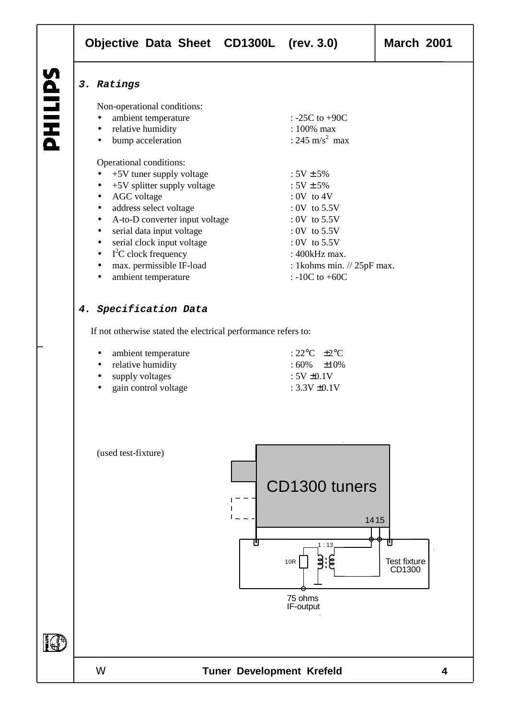LIPS 품

### **3. Ratings**

Non-operational conditions:

- ambient temperature : -25C to +90C • relative humidity : 100% max bump acceleration : 245 m/s<sup>2</sup> max Operational conditions:
- $+5V$  tuner supply voltage :  $5V \pm 5\%$ •  $+5V$  splitter supply voltage :  $5V \pm 5\%$ • AGC voltage : 0V to 4V
- example of address select voltage  $\cdot$  0V to 5.5V
- A-to-D converter input voltage : 0V to 5.5V
- serial data input voltage : 0V to 5.5V
- serial clock input voltage : 0V to 5.5V
- I<sup>2</sup>C clock frequency : 400kHz max.
- max. permissible IF-load : 1kohms min. // 25pF max.
- ambient temperature : -10C to +60C

### **4. Specification Data**

If not otherwise stated the electrical performance refers to:

| • ambient temperature     | $\div 22^{\circ}$ C $+2^{\circ}$ C |  |
|---------------------------|------------------------------------|--|
| • relative humidity       | $:60\%$ $\pm 10\%$                 |  |
| $\bullet$ supply voltages | $: 5V \pm 0.1V$                    |  |
| • gain control voltage    | : $3.3V \pm 0.1V$                  |  |

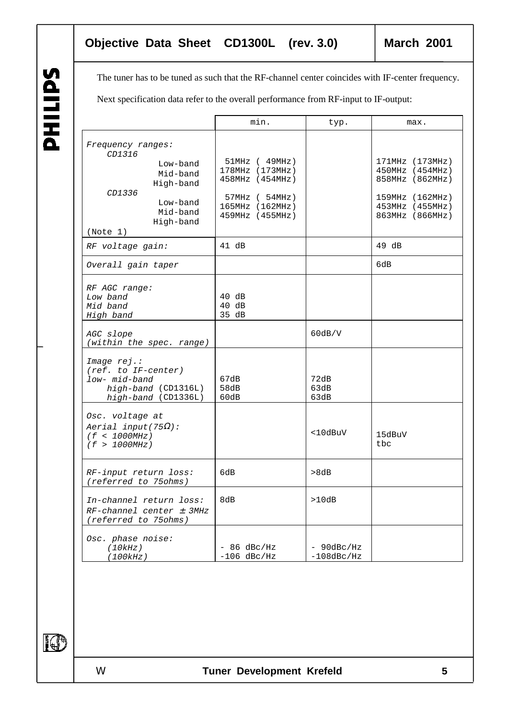The tuner has to be tuned as such that the RF-channel center coincides with IF-center frequency.

Next specification data refer to the overall performance from RF-input to IF-output:

|                                                                                                     |                                                                        | min.                                                                                                              | typ.                           | max.                                                                                                           |
|-----------------------------------------------------------------------------------------------------|------------------------------------------------------------------------|-------------------------------------------------------------------------------------------------------------------|--------------------------------|----------------------------------------------------------------------------------------------------------------|
| Frequency ranges:<br>CD1316<br>CD1336<br>(Note 1)                                                   | Low-band<br>Mid-band<br>High-band<br>Low-band<br>Mid-band<br>High-band | $51MHz$ ( $49MHz$ )<br>178MHz (173MHz)<br>458MHz (454MHz)<br>57MHz ( 54MHz)<br>165MHz (162MHz)<br>459MHz (455MHz) |                                | 171MHz (173MHz)<br>450MHz (454MHz)<br>858MHz (862MHz)<br>159MHz (162MHz)<br>453MHz (455MHz)<br>863MHz (866MHz) |
| RF voltage gain:                                                                                    |                                                                        | 41 dB                                                                                                             |                                | $49$ dB                                                                                                        |
| Overall gain taper                                                                                  |                                                                        |                                                                                                                   |                                | 6dB                                                                                                            |
| RF AGC range:<br>Low band<br>Mid band<br>High band                                                  |                                                                        | 40 dB<br>$40$ dB<br>35 dB                                                                                         |                                |                                                                                                                |
| AGC slope<br>(within the spec. range)                                                               |                                                                        |                                                                                                                   | 60dB/V                         |                                                                                                                |
| Image rej.:<br>$(ref. to IF-center)$<br>low- mid-band<br>high-band (CD1316L)<br>high-band (CD1336L) |                                                                        | 67dB<br>58dB<br>60dB                                                                                              | 72dB<br>63dB<br>63dB           |                                                                                                                |
| Osc. voltage at<br>Aerial input(75 $\Omega$ ):<br>(f < 1000MHz)<br>(f > 1000MHz)                    |                                                                        |                                                                                                                   | $<$ 10dBuV                     | 15dBuV<br>tbc                                                                                                  |
| RF-input return loss:<br>(referred to 75ohms)                                                       |                                                                        | 6dB                                                                                                               | >8dB                           |                                                                                                                |
| In-channel return loss:<br>$RF-channel center \t3MHz$<br>(referred to 75ohms)                       |                                                                        | 8dB                                                                                                               | >10dB                          |                                                                                                                |
| Osc. phase noise:<br>(10kHz)<br>(100kHz)                                                            |                                                                        | $-86$ dBc/Hz<br>$-106$ dBc/Hz                                                                                     | $- 90$ dBc/Hz<br>$-108$ dBc/Hz |                                                                                                                |

**SAITINA** 

IO<sup>1</sup>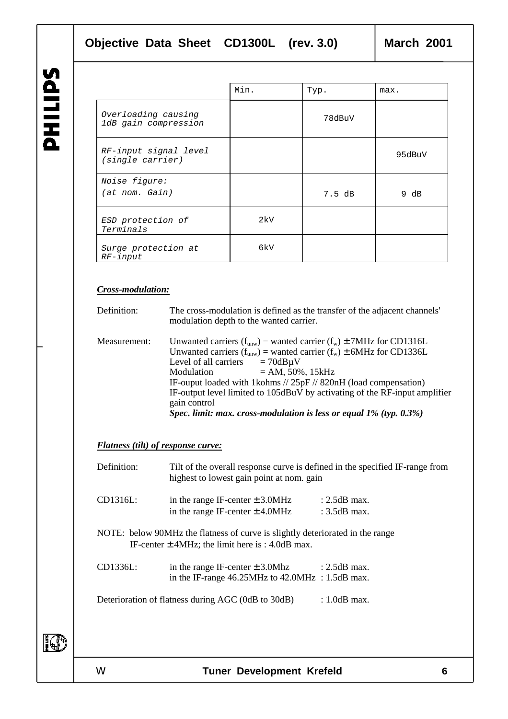|                                             | Min. | Typ.   | max.   |
|---------------------------------------------|------|--------|--------|
| Overloading causing<br>1dB gain compression |      | 78dBuV |        |
| RF-input signal level<br>(single carrier)   |      |        | 95dBuV |
| Noise figure:<br>(at nom. Gain)             |      | 7.5 dB | 9 dB   |
| ESD protection of<br>Terminals              | 2kV  |        |        |
| Surge protection at<br>$RF$ -input          | 6kV  |        |        |

### *Cross-modulation:*

| Definition:  | The cross-modulation is defined as the transfer of the adjacent channels'<br>modulation depth to the wanted carrier.                                                                                                                                                                                                                                                                                                                                                                              |
|--------------|---------------------------------------------------------------------------------------------------------------------------------------------------------------------------------------------------------------------------------------------------------------------------------------------------------------------------------------------------------------------------------------------------------------------------------------------------------------------------------------------------|
| Measurement: | Unwanted carriers $(f_{uvw})$ = wanted carrier $(f_w) \pm 7MHz$ for CD1316L<br>Unwanted carriers $(f_{\text{unw}})$ = wanted carrier $(f_{\text{w}}) \pm 6MHz$ for CD1336L<br>Level of all carriers $= 70dB\mu V$<br>$= AM, 50\%, 15kHz$<br>Modulation<br>IF-ouput loaded with 1kohms // 25pF // 820nH (load compensation)<br>IF-output level limited to 105dBuV by activating of the RF-input amplifier<br>gain control<br>Spec. limit: max. cross-modulation is less or equal $1\%$ (typ. 0.3%) |

### *Flatness (tilt) of response curve:*

| Definition: | Tilt of the overall response curve is defined in the specified IF-range from<br>highest to lowest gain point at nom. gain             |                                  |
|-------------|---------------------------------------------------------------------------------------------------------------------------------------|----------------------------------|
| CD1316L:    | in the range IF-center $\pm$ 3.0MHz<br>in the range IF-center $\pm$ 4.0MHz                                                            | $: 2.5dB$ max.<br>: $3.5dB$ max. |
|             | NOTE: below 90MHz the flatness of curve is slightly deteriorated in the range<br>IF-center $\pm$ 4MHz; the limit here is : 4.0dB max. |                                  |
| CD1336L:    | in the range IF-center $\pm$ 3.0Mhz : 2.5dB max.<br>in the IF-range $46.25$ MHz to $42.0$ MHz : $1.5$ dB max.                         |                                  |
|             | Deterioration of flatness during AGC (0dB to 30dB)                                                                                    | $: 1.0$ dB max.                  |
|             |                                                                                                                                       |                                  |

**I**O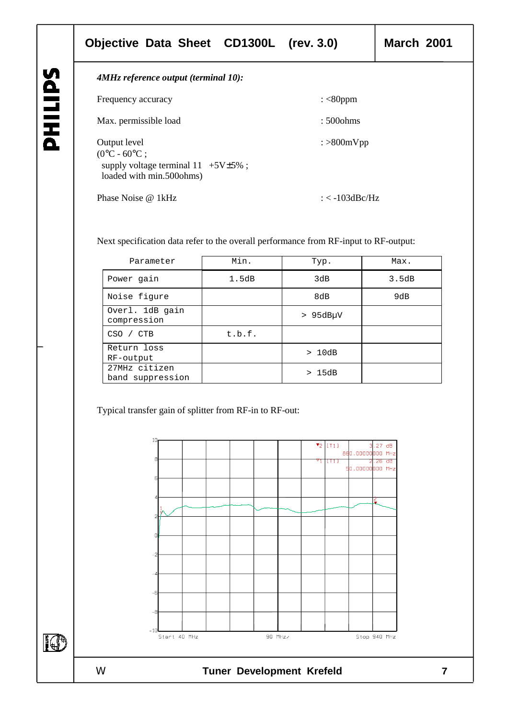### **Objective Data Sheet CD1300L (rev. 3.0) March 2001**

**SAITING** 

IO

| 4MHz reference output (terminal 10):                                                                                                             |  |
|--------------------------------------------------------------------------------------------------------------------------------------------------|--|
| : $<$ 80ppm<br>Frequency accuracy                                                                                                                |  |
| Max. permissible load<br>$:500 \text{ ohms}$                                                                                                     |  |
| Output level<br>$\frac{1}{2}$ >800mVpp<br>$(0^{\circ}C - 60^{\circ}C)$<br>supply voltage terminal $11 +5V \pm 5\%$ ;<br>loaded with min.500ohms) |  |
| Phase Noise @ 1kHz<br>: $<$ -103dBc/Hz                                                                                                           |  |

Next specification data refer to the overall performance from RF-input to RF-output:

| Parameter                         | Min.   | Typ.          | Max.  |
|-----------------------------------|--------|---------------|-------|
| Power gain                        | 1.5dB  | 3dB           | 3.5dB |
| Noise figure                      |        | 8dB           | 9dB   |
| Overl. 1dB gain<br>compression    |        | $> 95dB\mu V$ |       |
| $CSO$ /<br><b>CTB</b>             | t.b.f. |               |       |
| Return loss<br>RF-output          |        | >10dB         |       |
| 27MHz citizen<br>band suppression |        | > 15dB        |       |

Typical transfer gain of splitter from RF-in to RF-out:

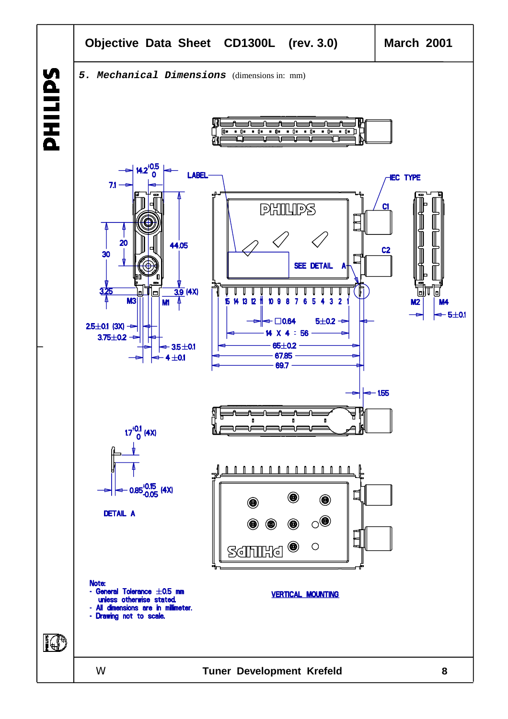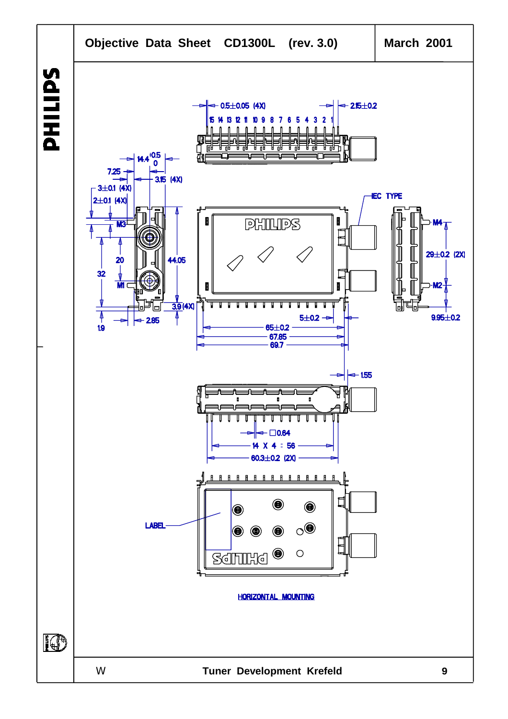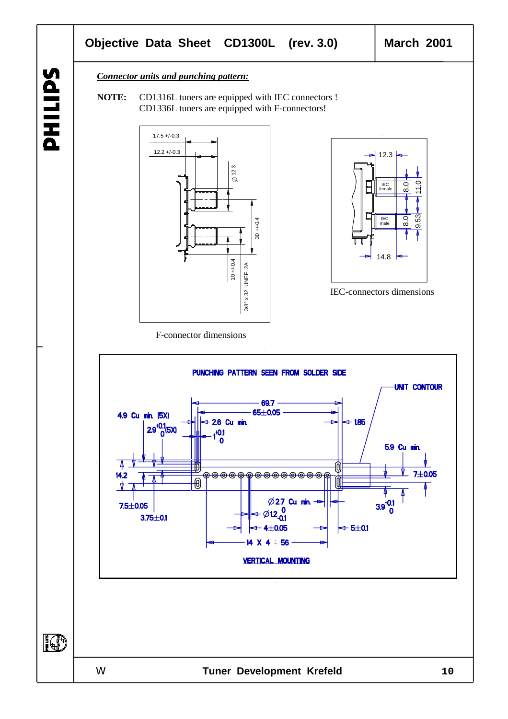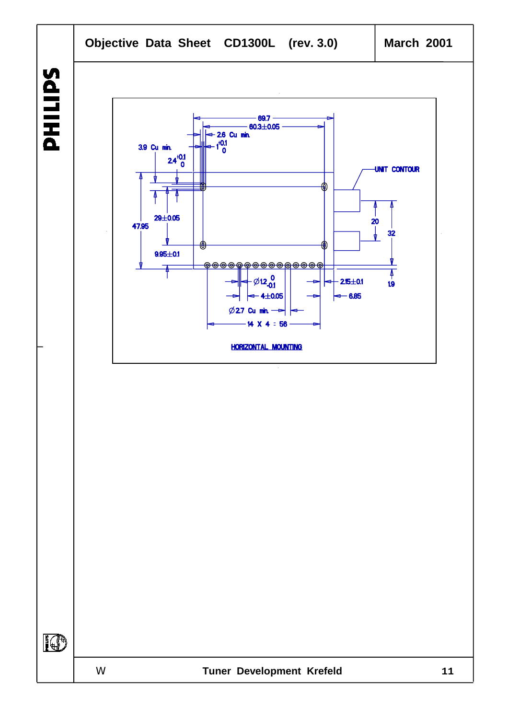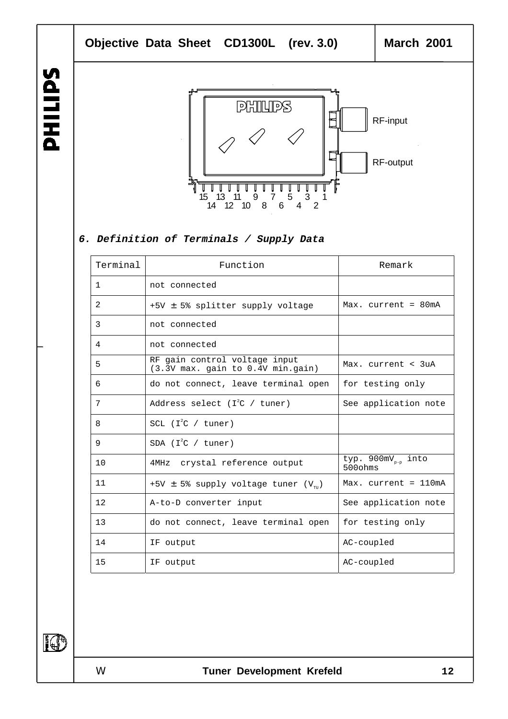



### **6. Definition of Terminals / Supply Data**

| Terminal       | Function                                                           | Remark                                                |
|----------------|--------------------------------------------------------------------|-------------------------------------------------------|
| $\mathbf{1}$   | not connected                                                      |                                                       |
| 2              | +5V ± 5% splitter supply voltage                                   | Max. $current = 80mA$                                 |
| 3              | not connected                                                      |                                                       |
| $\overline{4}$ | not connected                                                      |                                                       |
| 5              | RF gain control voltage input<br>(3.3V max. gain to 0.4V min.gain) | Max. $current < 3uA$                                  |
| 6              | do not connect, leave terminal open                                | for testing only                                      |
| 7              | Address select ( $I^2C$ / tuner)                                   | See application note                                  |
| 8              | SCL $(I^2C / {tuner})$                                             |                                                       |
| 9              | SDA $(I^2C / {tuner})$                                             |                                                       |
| 10             | 4MHz crystal reference output                                      | typ. $900 \text{mV}_{p-p}$ into<br>$500 \text{ ohms}$ |
| 11             | +5V $\pm$ 5% supply voltage tuner (V <sub>TII</sub> )              | $Max.$ current = $110mA$                              |
| 12             | A-to-D converter input                                             | See application note                                  |
| 13             | do not connect, leave terminal open                                | for testing only                                      |
| 14             | IF output                                                          | AC-coupled                                            |
| 15             | IF output                                                          | AC-coupled                                            |

IO

SdITIHd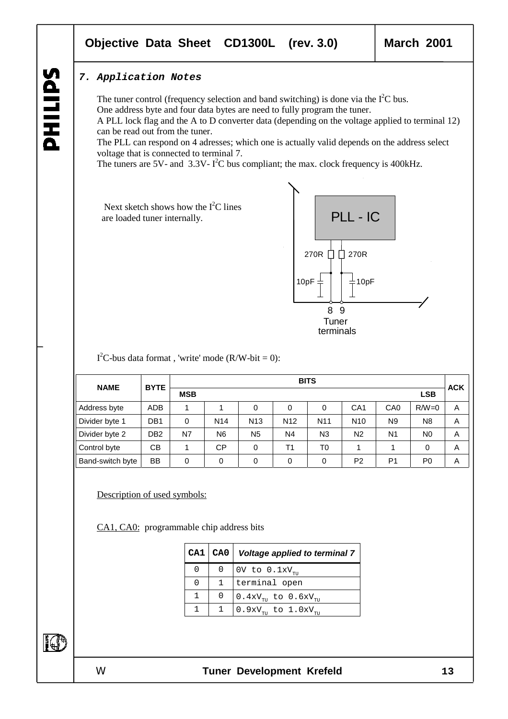### **Objective Data Sheet CD1300L (rev. 3.0) March 2001**

### **7. Application Notes**

The tuner control (frequency selection and band switching) is done via the  $I^2C$  bus. One address byte and four data bytes are need to fully program the tuner. A PLL lock flag and the A to D converter data (depending on the voltage applied to terminal 12) can be read out from the tuner.

The PLL can respond on 4 adresses; which one is actually valid depends on the address select voltage that is connected to terminal 7.

The tuners are 5V- and  $3.3V - I^2C$  bus compliant; the max. clock frequency is 400kHz.

Next sketch shows how the  $I<sup>2</sup>C$  lines are loaded tuner internally.



 $I<sup>2</sup>C$ -bus data format, 'write' mode (R/W-bit = 0):

|                  | <b>BYTE</b>     | <b>BITS</b> |                 |                 |                 |                 |                 |                 | <b>ACK</b>     |   |
|------------------|-----------------|-------------|-----------------|-----------------|-----------------|-----------------|-----------------|-----------------|----------------|---|
| <b>NAME</b>      |                 | <b>MSB</b>  |                 |                 |                 |                 |                 |                 | <b>LSB</b>     |   |
| Address byte     | <b>ADB</b>      |             |                 | 0               | 0               | 0               | CA <sub>1</sub> | CA <sub>0</sub> | $R/W=0$        | A |
| Divider byte 1   | DB <sub>1</sub> | $\Omega$    | N <sub>14</sub> | N <sub>13</sub> | N <sub>12</sub> | N <sub>11</sub> | N <sub>10</sub> | N <sub>9</sub>  | N <sub>8</sub> | A |
| Divider byte 2   | DB <sub>2</sub> | N7          | N <sub>6</sub>  | N <sub>5</sub>  | N4              | N <sub>3</sub>  | N <sub>2</sub>  | N <sub>1</sub>  | N <sub>0</sub> | A |
| Control byte     | <b>CB</b>       |             | <b>CP</b>       | $\Omega$        | Τ1              | T0              |                 |                 | 0              | A |
| Band-switch byte | <b>BB</b>       | 0           | 0               | $\Omega$        | 0               | $\Omega$        | P <sub>2</sub>  | P <sub>1</sub>  | P <sub>0</sub> | A |

Description of used symbols:

CA1, CA0: programmable chip address bits

| CA1 | CA0   Voltage applied to terminal 7          |
|-----|----------------------------------------------|
| 0   | OV to $0.1xV_{\text{cm}}$                    |
| 0   | terminal open                                |
|     | $0.4xV_{\text{m}}$ to $0.6xV_{\text{m}}$     |
|     | $0.9xV_{\text{cut}}$ to $1.0xV_{\text{cut}}$ |

FOR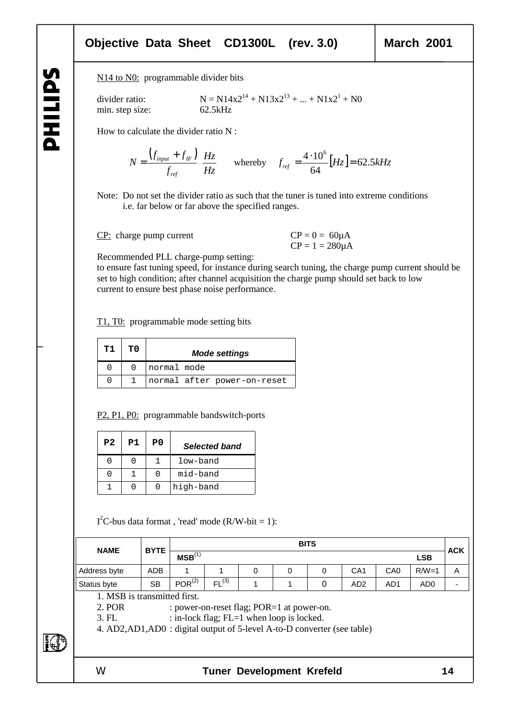# SdITIHd

### **Objective Data Sheet CD1300L (rev. 3.0) March 2001**

N<sub>14</sub> to N<sub>0</sub>: programmable divider bits

min. step size: 62.5kHz

divider ratio:  $N = N14x2^{14} + N13x2^{13} + ... + N1x2^{1} + N0$ 

How to calculate the divider ratio N :

$$
N = \frac{\left(f_{input} + f_{IF}\right)}{f_{ref}} \left[\frac{Hz}{Hz}\right]
$$
 whereby  $f_{ref} = \frac{4 \cdot 10^6}{64} [Hz] = 62.5kHz$ 

Note: Do not set the divider ratio as such that the tuner is tuned into extreme conditions i.e. far below or far above the specified ranges.

CP: charge pump current  $CP = 0 = 60 \mu A$ 

 $CP = 1 = 280 \mu A$ 

Recommended PLL charge-pump setting:

to ensure fast tuning speed, for instance during search tuning, the charge pump current should be set to high condition; after channel acquisition the charge pump should set back to low current to ensure best phase noise performance.

T1, T0: programmable mode setting bits

| т1 | ጥ በ | <b>Mode settings</b>        |
|----|-----|-----------------------------|
|    |     | normal mode                 |
|    |     | normal after power-on-reset |

P<sub>2</sub>, P<sub>1</sub>, P<sub>0</sub>: programmable bandswitch-ports

| P <sub>2</sub> | P1 | P0 | <b>Selected band</b> |
|----------------|----|----|----------------------|
|                |    |    | low-band             |
|                |    |    | mid-band             |
|                |    |    | high-band            |

 $I<sup>2</sup>C$ -bus data format, 'read' mode (R/W-bit = 1):

| <b>NAME</b>  | <b>BYTE</b> |                                  |                  |  |  | <b>BITS</b> |                 |                 |                 | <b>ACK</b> |
|--------------|-------------|----------------------------------|------------------|--|--|-------------|-----------------|-----------------|-----------------|------------|
|              |             | MSB <sup>(1)</sup><br><b>LSB</b> |                  |  |  |             |                 |                 |                 |            |
| Address byte | ADB         |                                  |                  |  |  |             | CA <sub>1</sub> | CA <sub>0</sub> | $R/W=1$         | Α          |
| Status byte  | <b>SB</b>   | $POR^{(2)}$                      | (3)<br><b>FL</b> |  |  |             | AD <sub>2</sub> | AD1             | AD <sub>0</sub> | -          |

1. MSB is transmitted first.

2. POR : power-on-reset flag; POR=1 at power-on.

3. FL : in-lock flag; FL=1 when loop is locked.

4. AD2,AD1,AD0 : digital output of 5-level A-to-D converter (see table)

FOR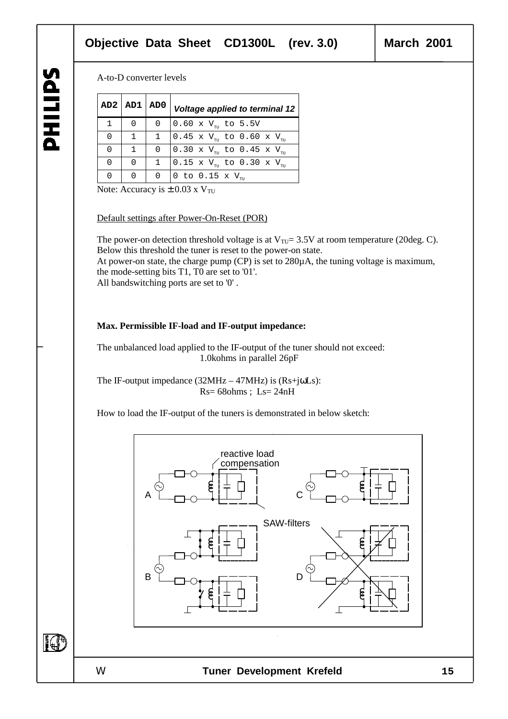### A-to-D converter levels

|          | AD2   AD1   AD0 |              | Voltage applied to terminal 12                                               |
|----------|-----------------|--------------|------------------------------------------------------------------------------|
|          |                 | 0            | $0.60 \times V_{\text{m}}$ to 5.5V                                           |
| $\Omega$ | $\mathbf{1}$    | $\mathbf{1}$ | $ 0.45 \times V_{\tau_{TT}} $ to 0.60 x V <sub><math>\tau_{TT}</math></sub>  |
| $\Omega$ |                 | 0            | $\vert$ 0.30 x V <sub>TH</sub> to 0.45 x V <sub>TH</sub>                     |
| $\Omega$ |                 |              | $\vert$ 0.15 x V $_{\textrm{\tiny{TU}}}$ to 0.30 x V $_{\textrm{\tiny{TU}}}$ |
| $\Omega$ |                 | <sup>0</sup> | 0 to 0.15 x $V_{\pi n}$                                                      |

Note: Accuracy is  $\pm 0.03$  x V<sub>TU</sub>

### Default settings after Power-On-Reset (POR)

The power-on detection threshold voltage is at  $V_{\text{TU}} = 3.5V$  at room temperature (20deg. C). Below this threshold the tuner is reset to the power-on state.

At power-on state, the charge pump (CP) is set to 280µA, the tuning voltage is maximum, the mode-setting bits T1, T0 are set to '01'. All bandswitching ports are set to '0' .

### **Max. Permissible IF-load and IF-output impedance:**

The unbalanced load applied to the IF-output of the tuner should not exceed: 1.0kohms in parallel 26pF

The IF-output impedance  $(32MHz - 47MHz)$  is  $(Rs+j\omega Ls)$ :  $Rs = 68 ohms$ ;  $Ls = 24nH$ 

How to load the IF-output of the tuners is demonstrated in below sketch:

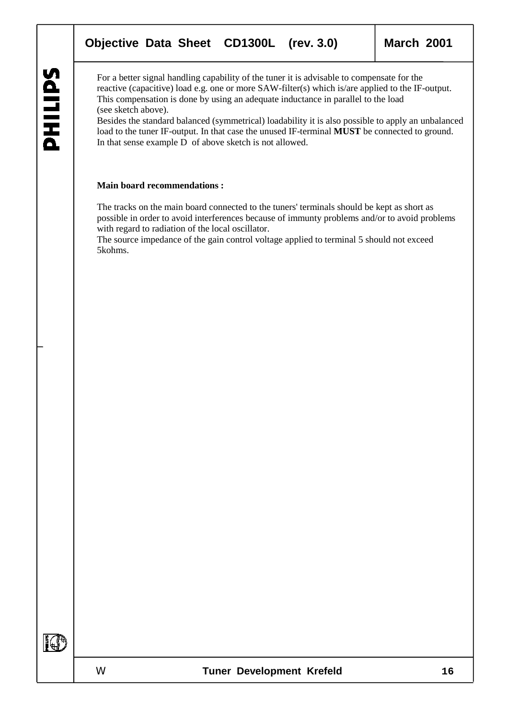For a better signal handling capability of the tuner it is advisable to compensate for the reactive (capacitive) load e.g. one or more SAW-filter(s) which is/are applied to the IF-output. This compensation is done by using an adequate inductance in parallel to the load (see sketch above).

Besides the standard balanced (symmetrical) loadability it is also possible to apply an unbalanced load to the tuner IF-output. In that case the unused IF-terminal **MUST** be connected to ground. In that sense example D of above sketch is not allowed.

### **Main board recommendations :**

The tracks on the main board connected to the tuners' terminals should be kept as short as possible in order to avoid interferences because of immunty problems and/or to avoid problems with regard to radiation of the local oscillator.

The source impedance of the gain control voltage applied to terminal 5 should not exceed 5kohms.

IQ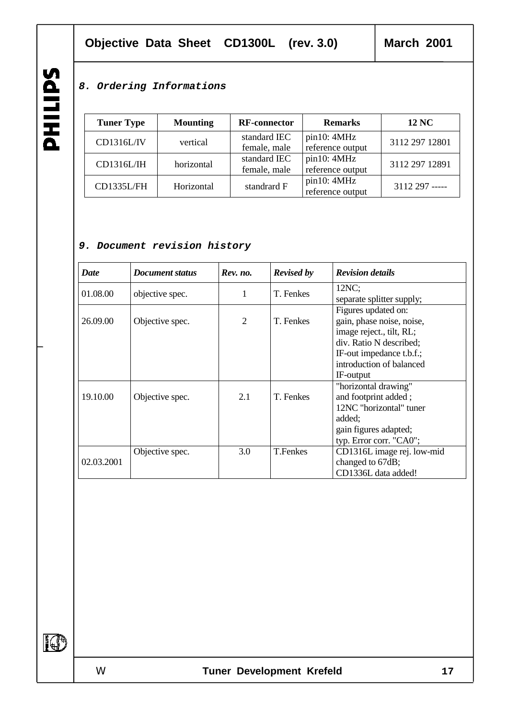### **Objective Data Sheet CD1300L (rev. 3.0) March 2001**

### **8. Ordering Informations**

Tuner Type Mounting **RF-connector Remarks** 12 NC  $CD1316L/IV$  vertical standard IEC female, male pin10: 4MHz pli10. 4MHz<br>reference output 3112 297 12801 CD1316L/IH horizontal standard IEC female, male pin10: 4MHz pm10. 4WHZ 3112 297 12891  $CD1335L/FH$  Horizontal standrard F pin10: 4MHz reference output 3112 297 -----

### **9. Document revision history**

| <b>Date</b> | <b>Document status</b> | Rev. no.       | <b>Revised by</b> | <b>Revision details</b>                                                                                                                                                      |  |
|-------------|------------------------|----------------|-------------------|------------------------------------------------------------------------------------------------------------------------------------------------------------------------------|--|
| 01.08.00    | objective spec.        | 1              | T. Fenkes         | 12NC;<br>separate splitter supply;                                                                                                                                           |  |
| 26.09.00    | Objective spec.        | $\overline{2}$ | T. Fenkes         | Figures updated on:<br>gain, phase noise, noise,<br>image reject., tilt, RL;<br>div. Ratio N described;<br>IF-out impedance t.b.f.;<br>introduction of balanced<br>IF-output |  |
| 19.10.00    | Objective spec.        | 2.1            | T. Fenkes         | "horizontal drawing"<br>and footprint added;<br>12NC "horizontal" tuner<br>added;<br>gain figures adapted;<br>typ. Error corr. "CA0";                                        |  |
| 02.03.2001  | Objective spec.        | 3.0            | <b>T.Fenkes</b>   | CD1316L image rej. low-mid<br>changed to 67dB;<br>CD1336L data added!                                                                                                        |  |

SdITIHd

IO